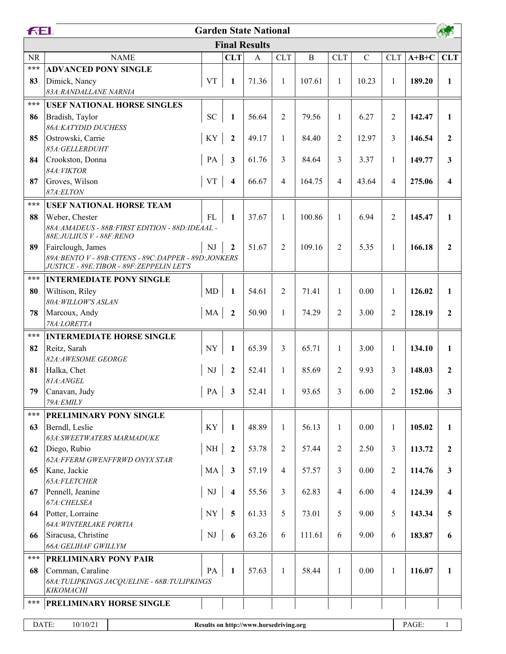|                                        | FEI.<br><b>Garden State National</b>                                                                  |                          |                         |              |                |             |                |             |                |         |                         |  |
|----------------------------------------|-------------------------------------------------------------------------------------------------------|--------------------------|-------------------------|--------------|----------------|-------------|----------------|-------------|----------------|---------|-------------------------|--|
|                                        | <b>Final Results</b>                                                                                  |                          |                         |              |                |             |                |             |                |         |                         |  |
| <b>NR</b>                              | <b>NAME</b>                                                                                           |                          | <b>CLT</b>              | $\mathbf{A}$ | <b>CLT</b>     | $\mathbf B$ | <b>CLT</b>     | $\mathbf C$ | <b>CLT</b>     | $A+B+C$ | <b>CLT</b>              |  |
| $\star\star\star$                      | <b>ADVANCED PONY SINGLE</b>                                                                           |                          |                         |              |                |             |                |             |                |         |                         |  |
| 83                                     | Dimick, Nancy                                                                                         | <b>VT</b>                | $\mathbf{1}$            | 71.36        | $\mathbf{1}$   | 107.61      | $\mathbf{1}$   | 10.23       | 1              | 189.20  | $\mathbf{1}$            |  |
|                                        | 83A: RANDALLANE NARNIA                                                                                |                          |                         |              |                |             |                |             |                |         |                         |  |
| $***$                                  | <b>USEF NATIONAL HORSE SINGLES</b>                                                                    |                          |                         |              |                |             |                |             |                |         |                         |  |
| 86                                     | Bradish, Taylor                                                                                       | <b>SC</b>                | 1                       | 56.64        | $\overline{2}$ | 79.56       | $\mathbf{1}$   | 6.27        | $\overline{2}$ | 142.47  | $\mathbf{1}$            |  |
|                                        | 86A: KATYDID DUCHESS                                                                                  |                          |                         |              |                |             |                |             |                |         |                         |  |
| 85                                     | Ostrowski, Carrie                                                                                     | KY                       | $\mathbf{2}$            | 49.17        | $\mathbf{1}$   | 84.40       | $\overline{2}$ | 12.97       | 3              | 146.54  | $\overline{2}$          |  |
|                                        | 85A:GELLERDUHT                                                                                        |                          |                         |              |                |             |                |             |                |         |                         |  |
| 84                                     | Crookston, Donna<br>84A: VIKTOR                                                                       | PA                       | $\mathbf{3}$            | 61.76        | 3              | 84.64       | 3              | 3.37        | $\mathbf{1}$   | 149.77  | 3                       |  |
| 87                                     | Groves, Wilson                                                                                        | <b>VT</b>                | $\overline{\mathbf{4}}$ | 66.67        | $\overline{4}$ | 164.75      | $\overline{4}$ | 43.64       | $\overline{4}$ | 275.06  | $\overline{\mathbf{4}}$ |  |
|                                        | 87A:ELTON                                                                                             |                          |                         |              |                |             |                |             |                |         |                         |  |
| $***$                                  | <b>USEF NATIONAL HORSE TEAM</b>                                                                       |                          |                         |              |                |             |                |             |                |         |                         |  |
| 88                                     | Weber, Chester                                                                                        | <b>FL</b>                | $\mathbf{1}$            | 37.67        | $\mathbf{1}$   | 100.86      | $\mathbf{1}$   | 6.94        | $\overline{2}$ | 145.47  | $\mathbf{1}$            |  |
|                                        | 88A: AMADEUS - 88B: FIRST EDITION - 88D: IDEAAL -                                                     |                          |                         |              |                |             |                |             |                |         |                         |  |
|                                        | 88E: JULIIUS V - 88F: RENO                                                                            |                          |                         |              |                |             |                |             |                |         |                         |  |
| 89                                     | Fairclough, James                                                                                     | NJ                       | $\mathbf{2}$            | 51.67        | $\overline{2}$ | 109.16      | $\overline{2}$ | 5.35        | $\mathbf{1}$   | 166.18  | $\overline{2}$          |  |
|                                        | 89A: BENTO V - 89B: CITENS - 89C: DAPPER - 89D: JONKERS<br>JUSTICE - 89E: TIBOR - 89F: ZEPPELIN LET'S |                          |                         |              |                |             |                |             |                |         |                         |  |
| $***$                                  | <b>INTERMEDIATE PONY SINGLE</b>                                                                       |                          |                         |              |                |             |                |             |                |         |                         |  |
| 80                                     | Wiltison, Riley                                                                                       | MD                       | 1                       | 54.61        | $\overline{2}$ | 71.41       | $\mathbf{1}$   | 0.00        | 1              | 126.02  | $\mathbf{1}$            |  |
|                                        | 80A: WILLOW'S ASLAN                                                                                   |                          |                         |              |                |             |                |             |                |         |                         |  |
| 78                                     | Marcoux, Andy                                                                                         | MA                       | $\overline{2}$          | 50.90        | $\mathbf{1}$   | 74.29       | 2              | 3.00        | 2              | 128.19  | $\overline{2}$          |  |
|                                        | 78A:LORETTA                                                                                           |                          |                         |              |                |             |                |             |                |         |                         |  |
| $***$                                  | <b>INTERMEDIATE HORSE SINGLE</b>                                                                      |                          |                         |              |                |             |                |             |                |         |                         |  |
| 82                                     | Reitz, Sarah                                                                                          | $\ensuremath{\text{NY}}$ | 1                       | 65.39        | 3              | 65.71       | $\mathbf{1}$   | 3.00        | 1              | 134.10  | $\mathbf{1}$            |  |
|                                        | 82A:AWESOME GEORGE                                                                                    |                          |                         |              |                |             |                |             |                |         |                         |  |
| 81                                     | Halka, Chet<br>81A:ANGEL                                                                              | NJ                       | $\boldsymbol{2}$        | 52.41        | $\mathbf{1}$   | 85.69       | 2              | 9.93        | 3              | 148.03  | $\overline{2}$          |  |
| 79                                     | Canavan, Judy                                                                                         | PA                       | $\mathbf{3}$            | 52.41        | $\mathbf{1}$   | 93.65       | $\mathfrak{Z}$ | 6.00        | 2              | 152.06  | 3                       |  |
|                                        | 79A: EMILY                                                                                            |                          |                         |              |                |             |                |             |                |         |                         |  |
| ***                                    | PRELIMINARY PONY SINGLE                                                                               |                          |                         |              |                |             |                |             |                |         |                         |  |
| 63                                     | Berndl, Leslie                                                                                        | KY                       | 1                       | 48.89        | $\mathbf{1}$   | 56.13       | 1              | 0.00        | 1              | 105.02  | 1                       |  |
|                                        | 63A: SWEETWATERS MARMADUKE                                                                            |                          |                         |              |                |             |                |             |                |         |                         |  |
| 62                                     | Diego, Rubio                                                                                          | $\rm NH$                 | $\boldsymbol{2}$        | 53.78        | $\overline{2}$ | 57.44       | 2              | 2.50        | 3              | 113.72  | $\boldsymbol{2}$        |  |
|                                        | 62A: FFERM GWENFFRWD ONYX STAR                                                                        |                          |                         |              |                |             |                |             |                |         |                         |  |
| 65                                     | Kane, Jackie                                                                                          | MA                       | $\mathbf{3}$            | 57.19        | $\overline{4}$ | 57.57       | 3              | 0.00        | 2              | 114.76  | $\mathbf{3}$            |  |
|                                        | 65A:FLETCHER                                                                                          |                          |                         |              |                |             |                |             |                |         |                         |  |
| 67                                     | Pennell, Jeanine<br>67A: CHELSEA                                                                      | $\mathbf{N}\mathbf{J}$   | 4                       | 55.56        | 3              | 62.83       | 4              | 6.00        | $\overline{4}$ | 124.39  | $\overline{\mathbf{4}}$ |  |
| 64                                     | Potter, Lorraine                                                                                      | <b>NY</b>                | $\overline{5}$          | 61.33        | $\mathfrak{S}$ | 73.01       | 5              | 9.00        | 5              | 143.34  | 5                       |  |
|                                        | 64A: WINTERLAKE PORTIA                                                                                |                          |                         |              |                |             |                |             |                |         |                         |  |
| 66                                     | Siracusa, Christine                                                                                   | $\rm{NJ}$                | 6                       | 63.26        | 6              | 111.61      | 6              | 9.00        | 6              | 183.87  | 6                       |  |
|                                        | 66A: GELIHAF GWILLYM                                                                                  |                          |                         |              |                |             |                |             |                |         |                         |  |
| ***                                    | PRELIMINARY PONY PAIR                                                                                 |                          |                         |              |                |             |                |             |                |         |                         |  |
| 68                                     | Cornman, Caraline                                                                                     | PA                       | 1                       | 57.63        | $\mathbf{1}$   | 58.44       | 1              | 0.00        | 1              | 116.07  | $\mathbf{1}$            |  |
|                                        | 68A: TULIPKINGS JACQUELINE - 68B: TULIPKINGS                                                          |                          |                         |              |                |             |                |             |                |         |                         |  |
|                                        | KIKOMACHI                                                                                             |                          |                         |              |                |             |                |             |                |         |                         |  |
| ***<br><b>PRELIMINARY HORSE SINGLE</b> |                                                                                                       |                          |                         |              |                |             |                |             |                |         |                         |  |
|                                        | DATE:<br>PAGE:<br>10/10/21<br>Results on http://www.horsedriving.org                                  |                          |                         |              |                |             |                |             |                |         | $\mathbf{1}$            |  |
|                                        |                                                                                                       |                          |                         |              |                |             |                |             |                |         |                         |  |